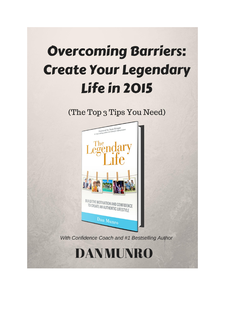# **Overcoming Barriers: Create Your Legendary Life in 2015**

(The Top 3 Tips You Need)



With Confidence Coach and #1 Bestselling Author

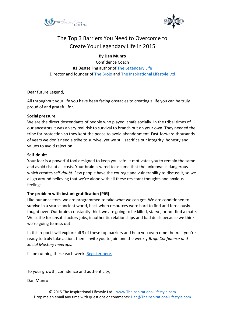



## The Top 3 Barriers You Need to Overcome to Create Your Legendary Life in 2015

#### **By Dan Munro**

Confidence Coach #1 Bestselling author of [The Legendary Life](http://www.amazon.com/dp/B00TJFWJSS) Director and founder of [The Brojo](http://brojo.co.nz/) an[d The Inspirational Lifestyle Ltd](http://www.theinspirationallifestyle.com/)

Dear future Legend,

All throughout your life you have been facing obstacles to creating a life you can be truly proud of and grateful for.

#### **Social pressure**

We are the direct descendants of people who played it safe socially. In the tribal times of our ancestors it was a very real risk to survival to branch out on your own. They needed the tribe for protection so they kept the peace to avoid abandonment. Fast-forward thousands of years we don't need a tribe to survive, yet we still sacrifice our integrity, honesty and values to avoid rejection.

#### **Self-doubt**

Your fear is a powerful tool designed to keep you safe. It motivates you to remain the same and avoid risk at all costs. Your brain is wired to assume that the unknown is dangerous which creates *self-doubt*. Few people have the courage and vulnerability to discuss it, so we all go around believing that we're alone with all these resistant thoughts and anxious feelings.

#### **The problem with instant gratification (PIG)**

Like our ancestors, we are programmed to take what we can get. We are conditioned to survive in a scarce ancient world, back when resources were hard to find and ferociously fought over. Our brains constantly think we are going to be killed, starve, or not find a mate. We settle for unsatisfactory jobs, inauthentic relationships and bad deals because we think we're going to miss out.

In this report I will explore all 3 of these top barriers and help you overcome them. If you're ready to truly take action, then I invite you to join one the weekly *Brojo Confidence and Social Mastery meetups*.

I'll be running these each week. [Register here.](http://www.meetup.com/Auckland-BroJo-Meetup-Essential-Life-Skills-for-Men/)

To your growth, confidence and authenticity,

Dan Munro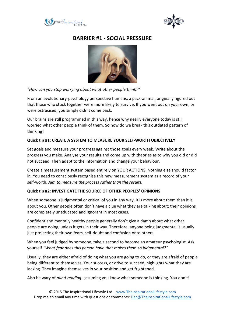



## **BARRIER #1 - SOCIAL PRESSURE**



*"How can you stop worrying about what other people think?"*

From an evolutionary-psychology perspective humans, a pack-animal, originally figured out that those who stuck together were more likely to survive. If you went out on your own, or were ostracised, you simply didn't come back.

Our brains are still programmed in this way, hence why nearly everyone today is still worried what other people think of them. So how do we break this outdated pattern of thinking?

#### **Quick tip #1: CREATE A SYSTEM TO MEASURE YOUR SELF-WORTH OBJECTIVELY**

Set goals and measure your progress against those goals every week. Write about the progress you make. Analyse your results and come up with theories as to why you did or did not succeed. Then adapt to the information and change your behaviour.

Create a measurement system based entirely on YOUR ACTIONS. Nothing else should factor in. You need to consciously recognise this new measurement system as a record of your self-worth. *Aim to measure the process rather than the results.*

#### **Quick tip #2: INVESTIGATE THE SOURCE OF OTHER PEOPLES' OPINIONS**

When someone is judgmental or critical of you in any way, it is more about them than it is about you. Other people often don't have a clue what they are talking about; their opinions are completely uneducated and ignorant in most cases.

Confident and mentally healthy people generally don't give a damn about what other people are doing, unless it gets in their way. Therefore, anyone being judgmental is usually just projecting their own fears, self-doubt and confusion onto others.

When you feel judged by someone, take a second to become an amateur psychologist. Ask yourself *"What fear does this person have that makes them so judgmental?"*

Usually, they are either afraid of doing what you are going to do, or they are afraid of people being different to themselves. Your success, or drive to succeed, highlights what they are lacking. They imagine themselves in your position and get frightened.

Also be wary of *mind-reading*: assuming you know what someone is thinking. You don't!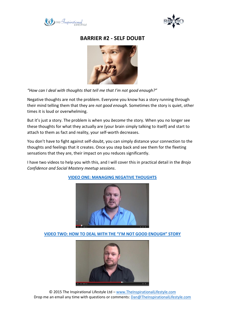



### **BARRIER #2 - SELF DOUBT**



*"How can I deal with thoughts that tell me that I'm not good enough?"*

Negative thoughts are not the problem. Everyone you know has a story running through their mind telling them that they are *not good enough*. Sometimes the story is quiet, other times it is loud or overwhelming.

But it's just a story. The problem is when you *become* the story. When you no longer see these thoughts for what they actually are (your brain simply talking to itself) and start to attach to them as fact and reality, your self-worth decreases.

You don't have to fight against self-doubt, you can simply distance your connection to the thoughts and feelings that it creates. Once you step back and see them for the fleeting sensations that they are, their impact on you reduces significantly.

I have two videos to help you with this, and I will cover this in practical detail in the *Brojo Confidence and Social Mastery meetup sessions*.



#### **[VIDEO ONE: MANAGING NEGATIVE THOUGHTS](http://www.theinspirationallifestyle.com/stop-discouraging-yourself-eliminate-negative-thoughts/)**

**[VIDEO TWO: HOW TO DEAL WITH THE "I'M NOT GOOD ENOUGH" STORY](http://www.theinspirationallifestyle.com/the-im-not-good-enough-story/)**



© 2015 The Inspirational Lifestyle Ltd – [www.TheInspirationalLifestyle.com](http://www.theinspirationallifestyle.com/) Drop me an email any time with questions or comments: [Dan@TheInspirationalLifestyle.com](mailto:Dan@TheInspirationalLifestyle.com)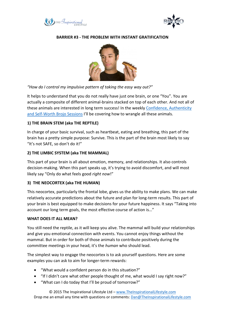



#### **BARRIER #3 - THE PROBLEM WITH INSTANT GRATIFICATION**



#### *"How do I control my impulsive pattern of taking the easy way out?"*

It helps to understand that you do not really have just one brain, or one "You". You are actually a composite of different animal-brains stacked on top of each other. And not all of these animals are interested in long term success! In the weekly [Confidence, Authenticity](http://www.meetup.com/Auckland-BroJo-Meetup-Essential-Life-Skills-for-Men/)  [and Self-Worth Brojo Sessions](http://www.meetup.com/Auckland-BroJo-Meetup-Essential-Life-Skills-for-Men/) I'll be covering how to wrangle all these animals.

#### **1) THE BRAIN STEM (aka THE REPTILE)**

In charge of your basic survival, such as heartbeat, eating and breathing, this part of the brain has a pretty simple purpose: Survive. This is the part of the brain most likely to say "It's not SAFE, so don't do it!"

#### **2) THE LIMBIC SYSTEM (aka THE MAMMAL)**

This part of your brain is all about emotion, memory, and relationships. It also controls decision-making. When this part speaks up, it's trying to avoid discomfort, and will most likely say "Only do what feels good *right now*!"

#### **3) THE NEOCORTEX (aka THE HUMAN)**

This neocortex, particularly the frontal lobe, gives us the ability to make plans. We can make relatively accurate predictions about the future and plan for long-term results. This part of your brain is best equipped to make decisions for your future happiness. It says "Taking into account our long term goals, the most effective course of action is…"

#### **WHAT DOES IT ALL MEAN?**

You still need the reptile, as it will keep you alive. The mammal will build your relationships and give you emotional connection with events. You cannot enjoy things without the mammal. But in order for both of those animals to contribute positively during the committee meetings in your head, it's the *human* who should lead.

The simplest way to engage the neocortex is to ask yourself questions. Here are some examples you can ask to aim for longer-term rewards:

- "What would a confident person do in this situation?"
- "If I didn't care what other people thought of me, what would I say right now?"
- "What can I do today that I'll be proud of tomorrow?"

© 2015 The Inspirational Lifestyle Ltd – [www.TheInspirationalLifestyle.com](http://www.theinspirationallifestyle.com/) Drop me an email any time with questions or comments: [Dan@TheInspirationalLifestyle.com](mailto:Dan@TheInspirationalLifestyle.com)